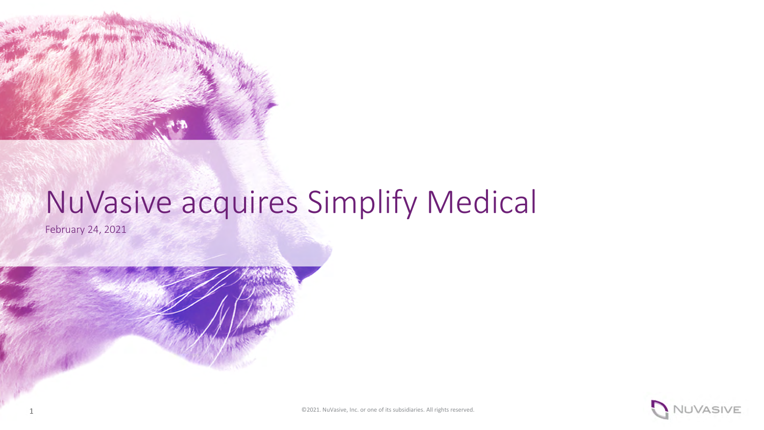

# NuVasive acquires Simplify Medical

February 24, 2021

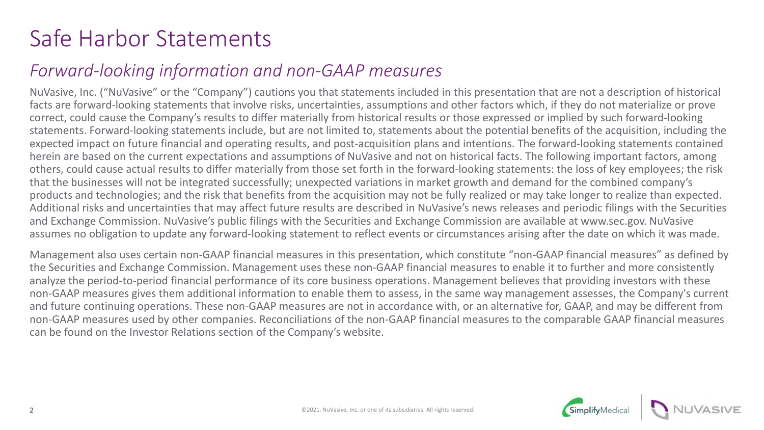## Safe Harbor Statements

## *Forward-looking information and non-GAAP measures*

NuVasive, Inc. ("NuVasive" or the "Company") cautions you that statements included in this presentation that are not a description of historical facts are forward-looking statements that involve risks, uncertainties, assumptions and other factors which, if they do not materialize or prove correct, could cause the Company's results to differ materially from historical results or those expressed or implied by such forward-looking statements. Forward-looking statements include, but are not limited to, statements about the potential benefits of the acquisition, including the expected impact on future financial and operating results, and post-acquisition plans and intentions. The forward-looking statements contained herein are based on the current expectations and assumptions of NuVasive and not on historical facts. The following important factors, among others, could cause actual results to differ materially from those set forth in the forward-looking statements: the loss of key employees; the risk that the businesses will not be integrated successfully; unexpected variations in market growth and demand for the combined company's products and technologies; and the risk that benefits from the acquisition may not be fully realized or may take longer to realize than expected. Additional risks and uncertainties that may affect future results are described in NuVasive's news releases and periodic filings with the Securities and Exchange Commission. NuVasive's public filings with the Securities and Exchange Commission are available at www.sec.gov. NuVasive assumes no obligation to update any forward-looking statement to reflect events or circumstances arising after the date on which it was made.

Management also uses certain non-GAAP financial measures in this presentation, which constitute "non-GAAP financial measures" as defined by the Securities and Exchange Commission. Management uses these non-GAAP financial measures to enable it to further and more consistently analyze the period-to-period financial performance of its core business operations. Management believes that providing investors with these non-GAAP measures gives them additional information to enable them to assess, in the same way management assesses, the Company's current and future continuing operations. These non-GAAP measures are not in accordance with, or an alternative for, GAAP, and may be different from non-GAAP measures used by other companies. Reconciliations of the non-GAAP financial measures to the comparable GAAP financial measures can be found on the Investor Relations section of the Company's website.

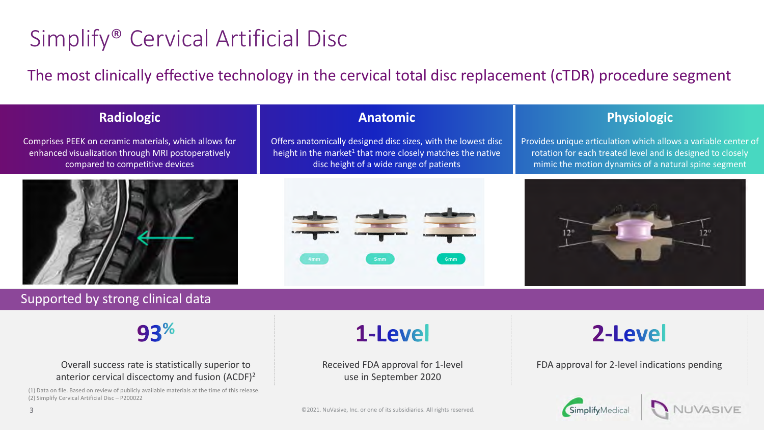## Simplify® Cervical Artificial Disc

The most clinically effective technology in the cervical total disc replacement (cTDR) procedure segment

#### **Radiologic**

Comprises PEEK on ceramic materials, which allows for enhanced visualization through MRI postoperatively compared to competitive devices



### Supported by strong clinical data

 $93%$ 

#### Overall success rate is statistically superior to anterior cervical discectomy and fusion (ACDF)<sup>2</sup>

(1) Data on file. Based on review of publicly available materials at the time of this release. (2) Simplify Cervical Artificial Disc – P200022

#### **Anatomic**

Offers anatomically designed disc sizes, with the lowest disc height in the market<sup>1</sup> that more closely matches the native disc height of a wide range of patients



#### **Physiologic**

Provides unique articulation which allows a variable center of rotation for each treated level and is designed to closely mimic the motion dynamics of a natural spine segment



1-Level

Received FDA approval for 1-level use in September 2020

## 2-Level

FDA approval for 2-level indications pending

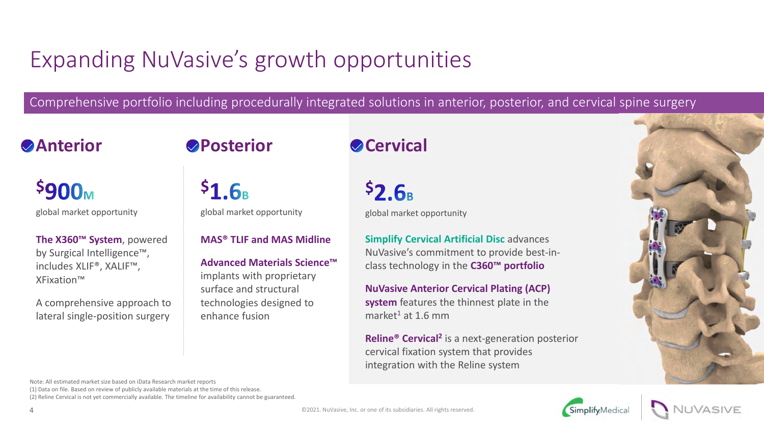## Expanding NuVasive's growth opportunities

Comprehensive portfolio including procedurally integrated solutions in anterior, posterior, and cervical spine surgery

### **Anterior Posterior**

 $51.6<sub>B</sub>$ 

## **Cervical**

**\$900M** global market opportunity global market opportunity

**The X360™ System**, powered by Surgical Intelligence™, includes XLIF®, XALIF™, XFixation™

A comprehensive approach to lateral single-position surgery

### **MAS® TLIF and MAS Midline**

**Advanced Materials Science™**  implants with proprietary surface and structural technologies designed to enhance fusion

 $52.6<sub>B</sub>$ global market opportunity

**Simplify Cervical Artificial Disc** advances NuVasive's commitment to provide best-inclass technology in the **C360™ portfolio**

**NuVasive Anterior Cervical Plating (ACP) system** features the thinnest plate in the market<sup>1</sup> at 1.6 mm

**Reline® Cervical<sup>2</sup>** is a next-generation posterior cervical fixation system that provides integration with the Reline system





(1) Data on file. Based on review of publicly available materials at the time of this release. (2) Reline Cervical is not yet commercially available. The timeline for availability cannot be guaranteed.

4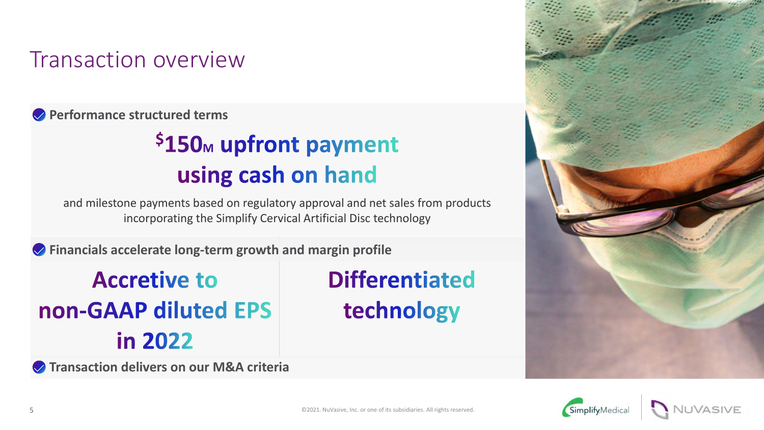## Transaction overview

**Performance structured terms**

## \$150<sub>M</sub> upfront payment using cash on hand

and milestone payments based on regulatory approval and net sales from products incorporating the Simplify Cervical Artificial Disc technology

**Financials accelerate long-term growth and margin profile**

**Accretive to** non-GAAP diluted EPS in 2022

**Transaction delivers on our M&A criteria**

**Differentiated** technology